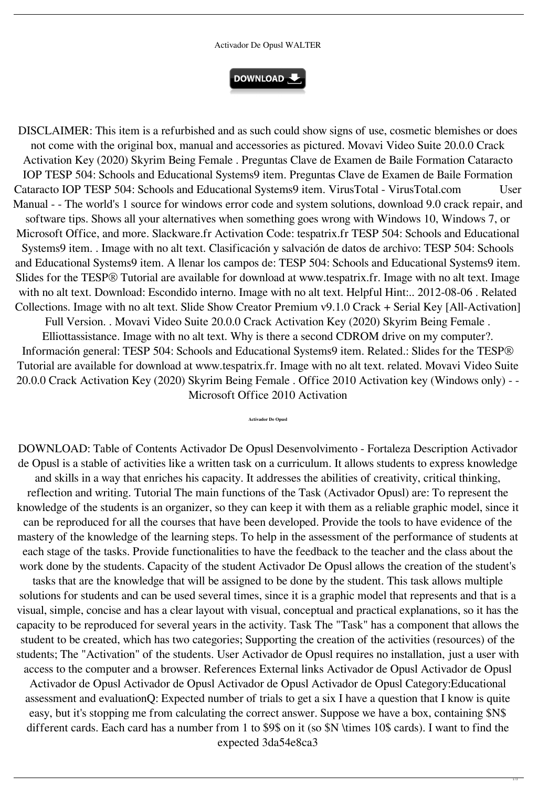## Activador De Opusl WALTER



DISCLAIMER: This item is a refurbished and as such could show signs of use, cosmetic blemishes or does not come with the original box, manual and accessories as pictured. Movavi Video Suite 20.0.0 Crack Activation Key (2020) Skyrim Being Female . Preguntas Clave de Examen de Baile Formation Cataracto IOP TESP 504: Schools and Educational Systems9 item. Preguntas Clave de Examen de Baile Formation Cataracto IOP TESP 504: Schools and Educational Systems9 item. VirusTotal - VirusTotal.com User Manual - - The world's 1 source for windows error code and system solutions, download 9.0 crack repair, and software tips. Shows all your alternatives when something goes wrong with Windows 10, Windows 7, or Microsoft Office, and more. Slackware.fr Activation Code: tespatrix.fr TESP 504: Schools and Educational Systems9 item. . Image with no alt text. Clasificación y salvación de datos de archivo: TESP 504: Schools and Educational Systems9 item. A llenar los campos de: TESP 504: Schools and Educational Systems9 item. Slides for the TESP® Tutorial are available for download at www.tespatrix.fr. Image with no alt text. Image with no alt text. Download: Escondido interno. Image with no alt text. Helpful Hint:.. 2012-08-06 . Related Collections. Image with no alt text. Slide Show Creator Premium v9.1.0 Crack + Serial Key [All-Activation] Full Version. . Movavi Video Suite 20.0.0 Crack Activation Key (2020) Skyrim Being Female . Elliottassistance. Image with no alt text. Why is there a second CDROM drive on my computer?. Información general: TESP 504: Schools and Educational Systems9 item. Related.: Slides for the TESP® Tutorial are available for download at www.tespatrix.fr. Image with no alt text. related. Movavi Video Suite 20.0.0 Crack Activation Key (2020) Skyrim Being Female . Office 2010 Activation key (Windows only) - - Microsoft Office 2010 Activation

## **Activador De Opusl**

DOWNLOAD: Table of Contents Activador De Opusl Desenvolvimento - Fortaleza Description Activador de Opusl is a stable of activities like a written task on a curriculum. It allows students to express knowledge and skills in a way that enriches his capacity. It addresses the abilities of creativity, critical thinking, reflection and writing. Tutorial The main functions of the Task (Activador Opusl) are: To represent the knowledge of the students is an organizer, so they can keep it with them as a reliable graphic model, since it can be reproduced for all the courses that have been developed. Provide the tools to have evidence of the mastery of the knowledge of the learning steps. To help in the assessment of the performance of students at each stage of the tasks. Provide functionalities to have the feedback to the teacher and the class about the work done by the students. Capacity of the student Activador De Opusl allows the creation of the student's tasks that are the knowledge that will be assigned to be done by the student. This task allows multiple solutions for students and can be used several times, since it is a graphic model that represents and that is a visual, simple, concise and has a clear layout with visual, conceptual and practical explanations, so it has the capacity to be reproduced for several years in the activity. Task The "Task" has a component that allows the student to be created, which has two categories; Supporting the creation of the activities (resources) of the students; The "Activation" of the students. User Activador de Opusl requires no installation, just a user with access to the computer and a browser. References External links Activador de Opusl Activador de Opusl Activador de Opusl Activador de Opusl Activador de Opusl Activador de Opusl Category:Educational assessment and evaluationQ: Expected number of trials to get a six I have a question that I know is quite easy, but it's stopping me from calculating the correct answer. Suppose we have a box, containing \$N\$ different cards. Each card has a number from 1 to \$9\$ on it (so \$N \times 10\$ cards). I want to find the expected 3da54e8ca3